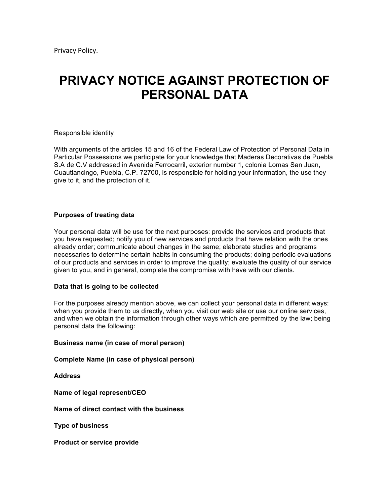# **PRIVACY NOTICE AGAINST PROTECTION OF PERSONAL DATA**

#### Responsible identity

With arguments of the articles 15 and 16 of the Federal Law of Protection of Personal Data in Particular Possessions we participate for your knowledge that Maderas Decorativas de Puebla S.A de C.V addressed in Avenida Ferrocarril, exterior number 1, colonia Lomas San Juan, Cuautlancingo, Puebla, C.P. 72700, is responsible for holding your information, the use they give to it, and the protection of it.

## **Purposes of treating data**

Your personal data will be use for the next purposes: provide the services and products that you have requested; notify you of new services and products that have relation with the ones already order; communicate about changes in the same; elaborate studies and programs necessaries to determine certain habits in consuming the products; doing periodic evaluations of our products and services in order to improve the quality; evaluate the quality of our service given to you, and in general, complete the compromise with have with our clients.

#### **Data that is going to be collected**

For the purposes already mention above, we can collect your personal data in different ways: when you provide them to us directly, when you visit our web site or use our online services, and when we obtain the information through other ways which are permitted by the law; being personal data the following:

#### **Business name (in case of moral person)**

**Complete Name (in case of physical person)**

**Address**

**Name of legal represent/CEO**

**Name of direct contact with the business**

**Type of business** 

**Product or service provide**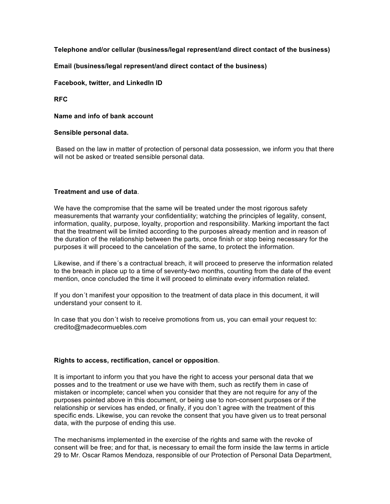# **Telephone and/or cellular (business/legal represent/and direct contact of the business)**

# **Email (business/legal represent/and direct contact of the business)**

# **Facebook, twitter, and LinkedIn ID**

**RFC**

**Name and info of bank account** 

## **Sensible personal data.**

Based on the law in matter of protection of personal data possession, we inform you that there will not be asked or treated sensible personal data.

## **Treatment and use of data**.

We have the compromise that the same will be treated under the most rigorous safety measurements that warranty your confidentiality; watching the principles of legality, consent, information, quality, purpose, loyalty, proportion and responsibility. Marking important the fact that the treatment will be limited according to the purposes already mention and in reason of the duration of the relationship between the parts, once finish or stop being necessary for the purposes it will proceed to the cancelation of the same, to protect the information.

Likewise, and if there´s a contractual breach, it will proceed to preserve the information related to the breach in place up to a time of seventy-two months, counting from the date of the event mention, once concluded the time it will proceed to eliminate every information related.

If you don´t manifest your opposition to the treatment of data place in this document, it will understand your consent to it.

In case that you don´t wish to receive promotions from us, you can email your request to: credito@madecormuebles.com

# **Rights to access, rectification, cancel or opposition**.

It is important to inform you that you have the right to access your personal data that we posses and to the treatment or use we have with them, such as rectify them in case of mistaken or incomplete; cancel when you consider that they are not require for any of the purposes pointed above in this document, or being use to non-consent purposes or if the relationship or services has ended, or finally, if you don´t agree with the treatment of this specific ends. Likewise, you can revoke the consent that you have given us to treat personal data, with the purpose of ending this use.

The mechanisms implemented in the exercise of the rights and same with the revoke of consent will be free; and for that, is necessary to email the form inside the law terms in article 29 to Mr. Oscar Ramos Mendoza, responsible of our Protection of Personal Data Department,